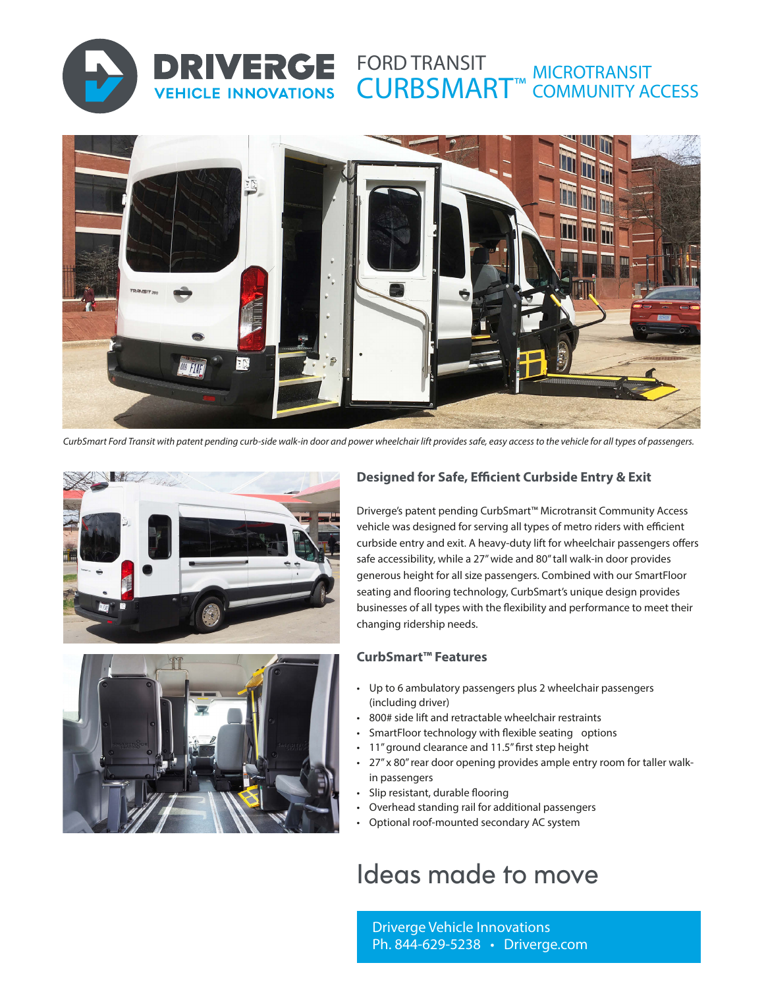

#### FORD TRANSIT CURBSMART™ MICROTRANSIT COMMUNITY ACCESS



*CurbSmart Ford Transit with patent pending curb-side walk-in door and power wheelchair lift provides safe, easy access to the vehicle for all types of passengers.*



DRIVERGE

**VEHICLE INNOVATIONS** 



### **Designed for Safe, Efficient Curbside Entry & Exit**

Driverge's patent pending CurbSmart™ Microtransit Community Access vehicle was designed for serving all types of metro riders with efficient curbside entry and exit. A heavy-duty lift for wheelchair passengers offers safe accessibility, while a 27" wide and 80" tall walk-in door provides generous height for all size passengers. Combined with our SmartFloor seating and flooring technology, CurbSmart's unique design provides businesses of all types with the flexibility and performance to meet their changing ridership needs.

### **CurbSmart™ Features**

- Up to 6 ambulatory passengers plus 2 wheelchair passengers (including driver)
- 800# side lift and retractable wheelchair restraints
- SmartFloor technology with flexible seating options
- 11" ground clearance and 11.5" first step height
- 27" x 80" rear door opening provides ample entry room for taller walkin passengers
- Slip resistant, durable flooring
- Overhead standing rail for additional passengers
- Optional roof-mounted secondary AC system

# Ideas made to move

Driverge Vehicle Innovations Ph. 844-629-5238 • Driverge.com